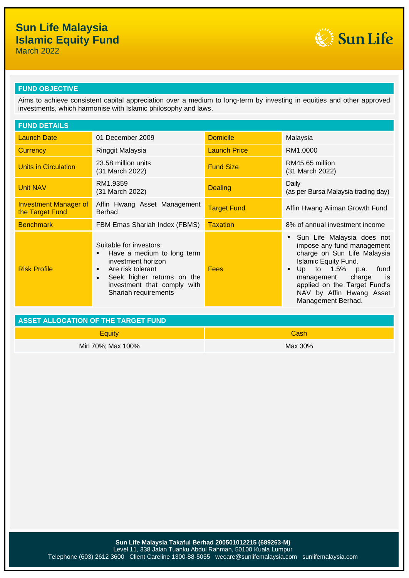# **Sun Life Malaysia Islamic Equity Fund**



March 2022

## **FUND OBJECTIVE**

Aims to achieve consistent capital appreciation over a medium to long-term by investing in equities and other approved investments, which harmonise with Islamic philosophy and laws.

| <b>FUND DETAILS</b>                             |                                                                                                                                                                                                 |                     |                                                                                                                                                                                                                                                                        |
|-------------------------------------------------|-------------------------------------------------------------------------------------------------------------------------------------------------------------------------------------------------|---------------------|------------------------------------------------------------------------------------------------------------------------------------------------------------------------------------------------------------------------------------------------------------------------|
| <b>Launch Date</b>                              | 01 December 2009                                                                                                                                                                                | <b>Domicile</b>     | Malaysia                                                                                                                                                                                                                                                               |
| <b>Currency</b>                                 | Ringgit Malaysia                                                                                                                                                                                | <b>Launch Price</b> | RM1.0000                                                                                                                                                                                                                                                               |
| Units in Circulation                            | 23.58 million units<br>(31 March 2022)                                                                                                                                                          | <b>Fund Size</b>    | RM45.65 million<br>(31 March 2022)                                                                                                                                                                                                                                     |
| <b>Unit NAV</b>                                 | RM1.9359<br>(31 March 2022)                                                                                                                                                                     | <b>Dealing</b>      | Daily<br>(as per Bursa Malaysia trading day)                                                                                                                                                                                                                           |
| <b>Investment Manager of</b><br>the Target Fund | Affin Hwang Asset Management<br>Berhad                                                                                                                                                          | <b>Target Fund</b>  | Affin Hwang Aiiman Growth Fund                                                                                                                                                                                                                                         |
| <b>Benchmark</b>                                | FBM Emas Shariah Index (FBMS)                                                                                                                                                                   | <b>Taxation</b>     | 8% of annual investment income                                                                                                                                                                                                                                         |
| <b>Risk Profile</b>                             | Suitable for investors:<br>Have a medium to long term<br>٠<br>investment horizon<br>Are risk tolerant<br>٠<br>Seek higher returns on the<br>investment that comply with<br>Shariah requirements | <b>Fees</b>         | Sun Life Malaysia does not<br>impose any fund management<br>charge on Sun Life Malaysia<br><b>Islamic Equity Fund.</b><br>Up to 1.5% p.a.<br>fund<br>٠<br>charge<br>management<br>is<br>applied on the Target Fund's<br>NAV by Affin Hwang Asset<br>Management Berhad. |

| ASSET ALLOCATION OF THE TARGET FUND |         |  |
|-------------------------------------|---------|--|
| Equity                              | Cash    |  |
| Min 70%; Max 100%                   | Max 30% |  |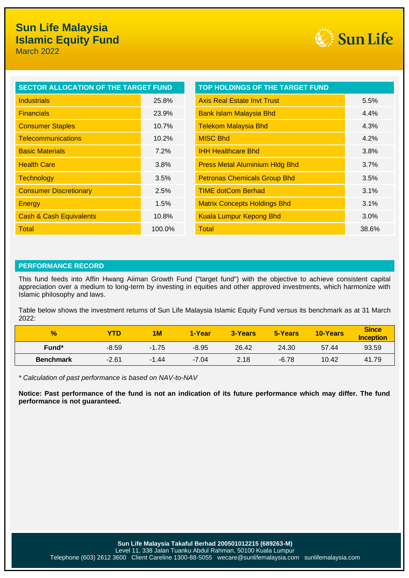

| <b>SECTOR ALLOCATION OF THE TARGET FUND</b> |          | <b>TOP HOLDINGS OF THE TARGET FUND</b> |       |
|---------------------------------------------|----------|----------------------------------------|-------|
| <b>Industrials</b>                          | 25.8%    | <b>Axis Real Estate Invt Trust</b>     | 5.5%  |
| <b>Financials</b>                           | 23.9%    | <b>Bank Islam Malaysia Bhd</b>         | 4.4%  |
| <b>Consumer Staples</b>                     | $10.7\%$ | <b>Telekom Malaysia Bhd</b>            | 4.3%  |
| <b>Telecommunications</b>                   | 10.2%    | <b>MISC Bhd</b>                        | 4.2%  |
| <b>Basic Materials</b>                      | 7.2%     | <b>IHH Healthcare Bhd</b>              | 3.8%  |
| <b>Health Care</b>                          | 3.8%     | <b>Press Metal Aluminium Hldg Bhd</b>  | 3.7%  |
| <b>Technology</b>                           | 3.5%     | <b>Petronas Chemicals Group Bhd</b>    | 3.5%  |
| <b>Consumer Discretionary</b>               | 2.5%     | <b>TIME dotCom Berhad</b>              | 3.1%  |
| Energy                                      | 1.5%     | <b>Matrix Concepts Holdings Bhd</b>    | 3.1%  |
| <b>Cash &amp; Cash Equivalents</b>          | 10.8%    | <b>Kuala Lumpur Kepong Bhd</b>         | 3.0%  |
| Total                                       | 100.0%   | Total                                  | 38.6% |

### **PERFORMANCE RECORD**

This fund feeds into Affin Hwang Aiiman Growth Fund ("target fund") with the objective to achieve consistent capital appreciation over a medium to long-term by investing in equities and other approved investments, which harmonize with Islamic philosophy and laws.

Table below shows the investment returns of Sun Life Malaysia Islamic Equity Fund versus its benchmark as at 31 March 2022:

| $\frac{9}{6}$     | YTD     | 1M      | 1-Year  | 3-Years | 5-Years | 10-Years | <b>Since</b><br><b>Inception</b> |
|-------------------|---------|---------|---------|---------|---------|----------|----------------------------------|
| Fund <sup>*</sup> | $-8.59$ | $-1.75$ | $-8.95$ | 26.42   | 24.30   | 57.44    | 93.59                            |
| <b>Benchmark</b>  | $-2.61$ | $-1.44$ | $-7.04$ | 2.18    | $-6.78$ | 10.42    | 41.79                            |

*\* Calculation of past performance is based on NAV-to-NAV*

**Notice: Past performance of the fund is not an indication of its future performance which may differ. The fund performance is not guaranteed.**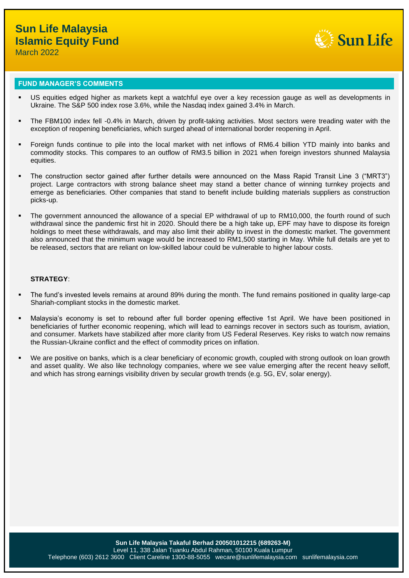

### **FUND MANAGER'S COMMENTS**

- US equities edged higher as markets kept a watchful eye over a key recession gauge as well as developments in Ukraine. The S&P 500 index rose 3.6%, while the Nasdaq index gained 3.4% in March.
- The FBM100 index fell -0.4% in March, driven by profit-taking activities. Most sectors were treading water with the exception of reopening beneficiaries, which surged ahead of international border reopening in April.
- Foreign funds continue to pile into the local market with net inflows of RM6.4 billion YTD mainly into banks and commodity stocks. This compares to an outflow of RM3.5 billion in 2021 when foreign investors shunned Malaysia equities.
- The construction sector gained after further details were announced on the Mass Rapid Transit Line 3 ("MRT3") project. Large contractors with strong balance sheet may stand a better chance of winning turnkey projects and emerge as beneficiaries. Other companies that stand to benefit include building materials suppliers as construction picks-up.
- The government announced the allowance of a special EP withdrawal of up to RM10,000, the fourth round of such withdrawal since the pandemic first hit in 2020. Should there be a high take up, EPF may have to dispose its foreign holdings to meet these withdrawals, and may also limit their ability to invest in the domestic market. The government also announced that the minimum wage would be increased to RM1,500 starting in May. While full details are yet to be released, sectors that are reliant on low-skilled labour could be vulnerable to higher labour costs.

#### **STRATEGY**:

- The fund's invested levels remains at around 89% during the month. The fund remains positioned in quality large-cap Shariah-compliant stocks in the domestic market.
- Malaysia's economy is set to rebound after full border opening effective 1st April. We have been positioned in beneficiaries of further economic reopening, which will lead to earnings recover in sectors such as tourism, aviation, and consumer. Markets have stabilized after more clarity from US Federal Reserves. Key risks to watch now remains the Russian-Ukraine conflict and the effect of commodity prices on inflation.
- We are positive on banks, which is a clear beneficiary of economic growth, coupled with strong outlook on loan growth and asset quality. We also like technology companies, where we see value emerging after the recent heavy selloff, and which has strong earnings visibility driven by secular growth trends (e.g. 5G, EV, solar energy).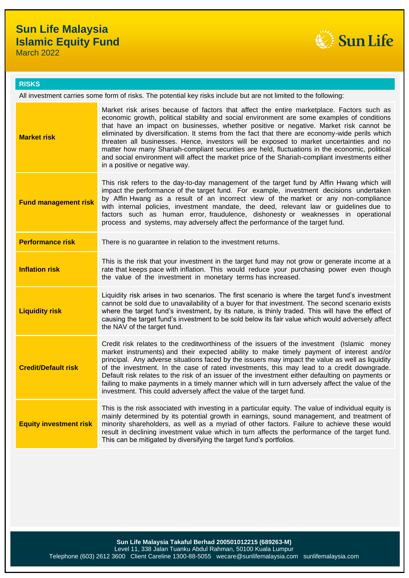## **Sun Life Malaysia Islamic Equity Fund**

Sun Life

March 2022

### **RISKS**

All investment carries some form of risks. The potential key risks include but are not limited to the following:

| <b>Market risk</b>            | Market risk arises because of factors that affect the entire marketplace. Factors such as<br>economic growth, political stability and social environment are some examples of conditions<br>that have an impact on businesses, whether positive or negative. Market risk cannot be<br>eliminated by diversification. It stems from the fact that there are economy-wide perils which<br>threaten all businesses. Hence, investors will be exposed to market uncertainties and no<br>matter how many Shariah-compliant securities are held, fluctuations in the economic, political<br>and social environment will affect the market price of the Shariah-compliant investments either<br>in a positive or negative way. |
|-------------------------------|-------------------------------------------------------------------------------------------------------------------------------------------------------------------------------------------------------------------------------------------------------------------------------------------------------------------------------------------------------------------------------------------------------------------------------------------------------------------------------------------------------------------------------------------------------------------------------------------------------------------------------------------------------------------------------------------------------------------------|
| <b>Fund management risk</b>   | This risk refers to the day-to-day management of the target fund by Affin Hwang which will<br>impact the performance of the target fund. For example, investment decisions undertaken<br>by Affin Hwang as a result of an incorrect view of the market or any non-compliance<br>with internal policies, investment mandate, the deed, relevant law or guidelines due to<br>factors such as human error, fraudulence, dishonesty or weaknesses in operational<br>process and systems, may adversely affect the performance of the target fund.                                                                                                                                                                           |
| <b>Performance risk</b>       | There is no guarantee in relation to the investment returns.                                                                                                                                                                                                                                                                                                                                                                                                                                                                                                                                                                                                                                                            |
| <b>Inflation risk</b>         | This is the risk that your investment in the target fund may not grow or generate income at a<br>rate that keeps pace with inflation. This would reduce your purchasing power even though<br>the value of the investment in monetary terms has increased.                                                                                                                                                                                                                                                                                                                                                                                                                                                               |
| <b>Liquidity risk</b>         | Liquidity risk arises in two scenarios. The first scenario is where the target fund's investment<br>cannot be sold due to unavailability of a buyer for that investment. The second scenario exists<br>where the target fund's investment, by its nature, is thinly traded. This will have the effect of<br>causing the target fund's investment to be sold below its fair value which would adversely affect<br>the NAV of the target fund.                                                                                                                                                                                                                                                                            |
| <b>Credit/Default risk</b>    | Credit risk relates to the creditworthiness of the issuers of the investment (Islamic money<br>market instruments) and their expected ability to make timely payment of interest and/or<br>principal. Any adverse situations faced by the issuers may impact the value as well as liquidity<br>of the investment. In the case of rated investments, this may lead to a credit downgrade.<br>Default risk relates to the risk of an issuer of the investment either defaulting on payments or<br>failing to make payments in a timely manner which will in turn adversely affect the value of the<br>investment. This could adversely affect the value of the target fund.                                               |
| <b>Equity investment risk</b> | This is the risk associated with investing in a particular equity. The value of individual equity is<br>mainly determined by its potential growth in earnings, sound management, and treatment of<br>minority shareholders, as well as a myriad of other factors. Failure to achieve these would<br>result in declining investment value which in turn affects the performance of the target fund.<br>This can be mitigated by diversifying the target fund's portfolios.                                                                                                                                                                                                                                               |